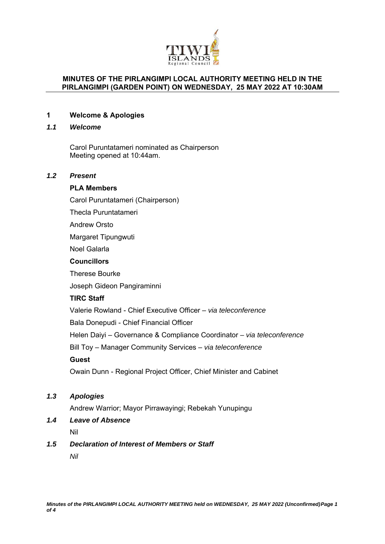

## **MINUTES OF THE PIRLANGIMPI LOCAL AUTHORITY MEETING HELD IN THE PIRLANGIMPI (GARDEN POINT) ON WEDNESDAY, 25 MAY 2022 AT 10:30AM**

## **1 Welcome & Apologies**

#### *1.1 Welcome*

Carol Puruntatameri nominated as Chairperson Meeting opened at 10:44am.

# *1.2 Present*

#### **PLA Members**

Carol Puruntatameri (Chairperson)

Thecla Puruntatameri

Andrew Orsto

Margaret Tipungwuti

Noel Galarla

#### **Councillors**

Therese Bourke

Joseph Gideon Pangiraminni

# **TIRC Staff**

Valerie Rowland - Chief Executive Officer – *via teleconference*

Bala Donepudi - Chief Financial Officer

Helen Daiyi – Governance & Compliance Coordinator *– via teleconference*

Bill Toy – Manager Community Services – *via teleconference*

## **Guest**

Owain Dunn - Regional Project Officer, Chief Minister and Cabinet

# *1.3 Apologies*

Andrew Warrior; Mayor Pirrawayingi; Rebekah Yunupingu

# *1.4 Leave of Absence*

Nil

## *1.5 Declaration of Interest of Members or Staff*

*Nil*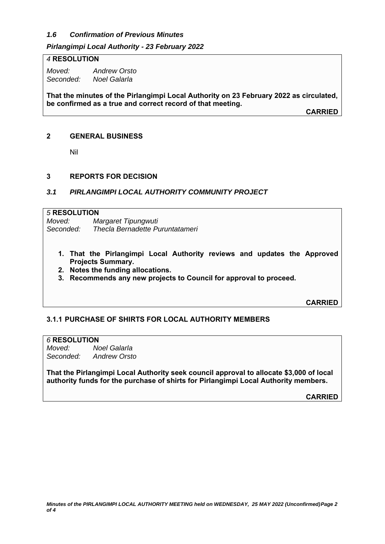# *1.6 Confirmation of Previous Minutes*

## *Pirlangimpi Local Authority - 23 February 2022*

#### *4* **RESOLUTION**

*Moved: Andrew Orsto Seconded: Noel Galarla* 

**That the minutes of the Pirlangimpi Local Authority on 23 February 2022 as circulated, be confirmed as a true and correct record of that meeting.** 

**CARRIED**

#### **2 GENERAL BUSINESS**

Nil

#### **3 REPORTS FOR DECISION**

## *3.1 PIRLANGIMPI LOCAL AUTHORITY COMMUNITY PROJECT*

#### *5* **RESOLUTION**

*Moved: Margaret Tipungwuti Seconded: Thecla Bernadette Puruntatameri* 

- **1. That the Pirlangimpi Local Authority reviews and updates the Approved Projects Summary.**
- **2. Notes the funding allocations.**
- **3. Recommends any new projects to Council for approval to proceed.**

**CARRIED**

## **3.1.1 PURCHASE OF SHIRTS FOR LOCAL AUTHORITY MEMBERS**

## *6* **RESOLUTION**

*Moved: Noel Galarla Seconded: Andrew Orsto* 

**That the Pirlangimpi Local Authority seek council approval to allocate \$3,000 of local authority funds for the purchase of shirts for Pirlangimpi Local Authority members.** 

**CARRIED**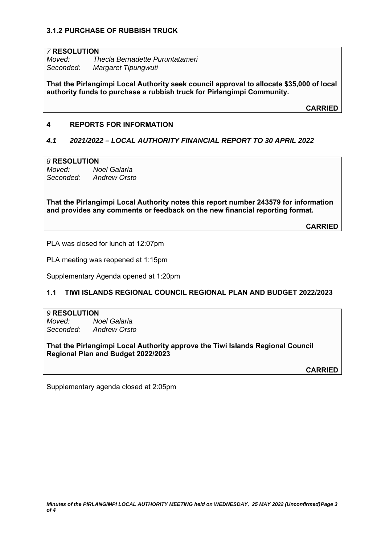# **3.1.2 PURCHASE OF RUBBISH TRUCK**

#### *7* **RESOLUTION**

*Moved: Thecla Bernadette Puruntatameri Seconded: Margaret Tipungwuti* 

**That the Pirlangimpi Local Authority seek council approval to allocate \$35,000 of local authority funds to purchase a rubbish truck for Pirlangimpi Community.** 

**CARRIED**

# **4 REPORTS FOR INFORMATION**

#### *4.1 2021/2022 – LOCAL AUTHORITY FINANCIAL REPORT TO 30 APRIL 2022*

#### *8* **RESOLUTION**

*Moved: Noel Galarla Seconded: Andrew Orsto* 

**That the Pirlangimpi Local Authority notes this report number 243579 for information and provides any comments or feedback on the new financial reporting format.**

**CARRIED**

PLA was closed for lunch at 12:07pm

PLA meeting was reopened at 1:15pm

Supplementary Agenda opened at 1:20pm

## **1.1 TIWI ISLANDS REGIONAL COUNCIL REGIONAL PLAN AND BUDGET 2022/2023**

#### *9* **RESOLUTION**

*Moved: Noel Galarla Seconded: Andrew Orsto* 

**That the Pirlangimpi Local Authority approve the Tiwi Islands Regional Council Regional Plan and Budget 2022/2023** 

**CARRIED**

Supplementary agenda closed at 2:05pm